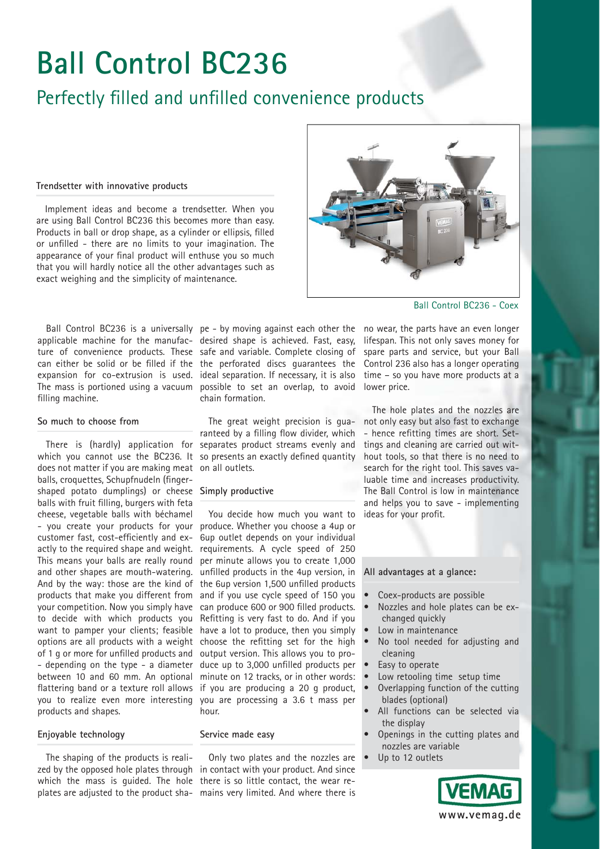# **Ball Control BC236**

## Perfectly filled and unfilled convenience products

### **Trendsetter with innovative products**

Implement ideas and become a trendsetter. When you are using Ball Control BC236 this becomes more than easy. Products in ball or drop shape, as a cylinder or ellipsis, filled or unfilled - there are no limits to your imagination. The appearance of your final product will enthuse you so much that you will hardly notice all the other advantages such as exact weighing and the simplicity of maintenance.



Ball Control BC236 - Coex

applicable machine for the manufac-desired shape is achieved. Fast, easy, lifespan. This not only saves money for filling machine.

### **So much to choose from**

There is (hardly) application for does not matter if you are making meat on all outlets. balls, croquettes, Schupfnudeln (fingershaped potato dumplings) or cheese **Simply productive** balls with fruit filling, burgers with feta cheese, vegetable balls with béchamel - you create your products for your customer fast, cost-efficiently and exactly to the required shape and weight. This means your balls are really round and other shapes are mouth-watering. And by the way: those are the kind of products that make you different from your competition. Now you simply have to decide with which products you want to pamper your clients; feasible options are all products with a weight of 1 g or more for unfilled products and - depending on the type - a diameter between 10 and 60 mm. An optional flattering band or a texture roll allows you to realize even more interesting products and shapes.

ture of convenience products. These safe and variable. Complete closing of spare parts and service, but your Ball can either be solid or be filled if the the perforated discs guarantees the Control 236 also has a longer operating expansion for co-extrusion is used. ideal separation. If necessary, it is also time – so you have more products at a The mass is portioned using a vacuum possible to set an overlap, to avoid lower price. chain formation.

which you cannot use the BC236. It so presents an exactly defined quantity The great weight precision is guaranteed by a filling flow divider, which separates product streams evenly and

You decide how much you want to produce. Whether you choose a 4up or 6up outlet depends on your individual requirements. A cycle speed of 250 per minute allows you to create 1,000 unfilled products in the 4up version, in the 6up version 1,500 unfilled products and if you use cycle speed of 150 you can produce 600 or 900 filled products. Refitting is very fast to do. And if you have a lot to produce, then you simply choose the refitting set for the high output version. This allows you to produce up to 3,000 unfilled products per minute on 12 tracks, or in other words: if you are producing a 20 g product, you are processing a 3.6 t mass per hour.

## **Enjoyable technology**

The shaping of the products is realiplates are adjusted to the product sha-mains very limited. And where there is

## **Service made easy**

zed by the opposed hole plates through in contact with your product. And since which the mass is guided. The hole there is so little contact, the wear re-Only two plates and the nozzles are

Ball Control BC236 is a universally pe - by moving against each other the no wear, the parts have an even longer

The hole plates and the nozzles are not only easy but also fast to exchange - hence refitting times are short. Settings and cleaning are carried out without tools, so that there is no need to search for the right tool. This saves valuable time and increases productivity. The Ball Control is low in maintenance and helps you to save - implementing ideas for your profit.

**All advantages at a glance:**

- Coex-products are possible
- Nozzles and hole plates can be exchanged quickly
- Low in maintenance
- No tool needed for adjusting and cleaning
- Easy to operate
- Low retooling time setup time
- Overlapping function of the cutting blades (optional)
- All functions can be selected via the display
- Openings in the cutting plates and nozzles are variable
- Up to 12 outlets